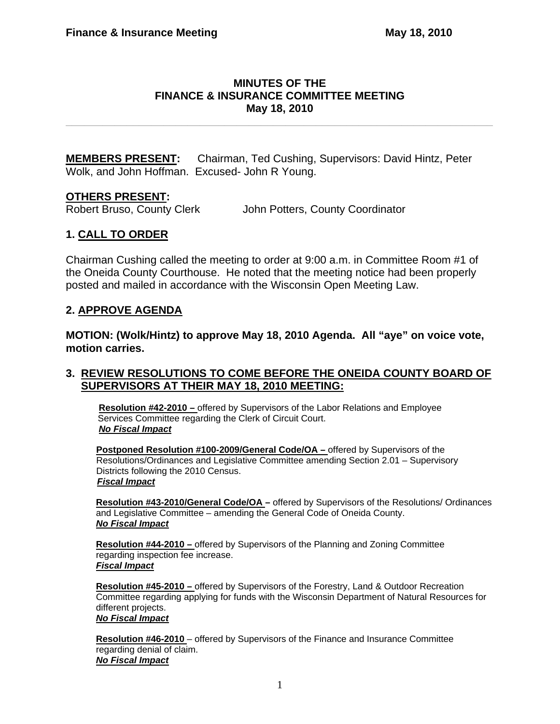## **MINUTES OF THE FINANCE & INSURANCE COMMITTEE MEETING May 18, 2010**

**\_\_\_\_\_\_\_\_\_\_\_\_\_\_\_\_\_\_\_\_\_\_\_\_\_\_\_\_\_\_\_\_\_\_\_\_\_\_\_\_\_\_\_\_\_\_\_\_\_\_\_\_\_\_\_\_\_\_\_\_\_\_\_\_\_\_\_\_\_\_** 

**MEMBERS PRESENT:** Chairman, Ted Cushing, Supervisors: David Hintz, Peter Wolk, and John Hoffman. Excused- John R Young.

## **OTHERS PRESENT:**

Robert Bruso, County Clerk John Potters, County Coordinator

# **1. CALL TO ORDER**

Chairman Cushing called the meeting to order at 9:00 a.m. in Committee Room #1 of the Oneida County Courthouse. He noted that the meeting notice had been properly posted and mailed in accordance with the Wisconsin Open Meeting Law.

## **2. APPROVE AGENDA**

**MOTION: (Wolk/Hintz) to approve May 18, 2010 Agenda. All "aye" on voice vote, motion carries.** 

## **3. REVIEW RESOLUTIONS TO COME BEFORE THE ONEIDA COUNTY BOARD OF SUPERVISORS AT THEIR MAY 18, 2010 MEETING:**

**Resolution #42-2010 –** offered by Supervisors of the Labor Relations and Employee Services Committee regarding the Clerk of Circuit Court. *No Fiscal Impact*

**Postponed Resolution #100-2009/General Code/OA – offered by Supervisors of the**  Resolutions/Ordinances and Legislative Committee amending Section 2.01 – Supervisory Districts following the 2010 Census. *Fiscal Impact*

**Resolution #43-2010/General Code/OA –** offered by Supervisors of the Resolutions/ Ordinances and Legislative Committee – amending the General Code of Oneida County. *No Fiscal Impact*

**Resolution #44-2010 –** offered by Supervisors of the Planning and Zoning Committee regarding inspection fee increase. *Fiscal Impact*

**Resolution #45-2010 –** offered by Supervisors of the Forestry, Land & Outdoor Recreation Committee regarding applying for funds with the Wisconsin Department of Natural Resources for different projects. *No Fiscal Impact*

**Resolution #46-2010** – offered by Supervisors of the Finance and Insurance Committee regarding denial of claim. *No Fiscal Impact*